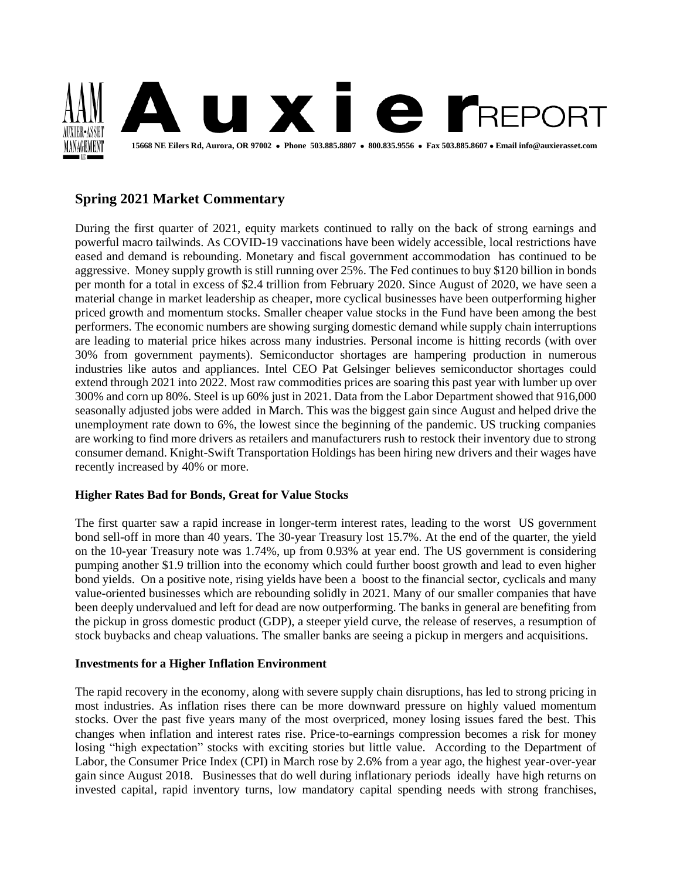

# **Spring 2021 Market Commentary**

During the first quarter of 2021, equity markets continued to rally on the back of strong earnings and powerful macro tailwinds. As COVID-19 vaccinations have been widely accessible, local restrictions have eased and demand is rebounding. Monetary and fiscal government accommodation has continued to be aggressive. Money supply growth is still running over 25%. The Fed continues to buy \$120 billion in bonds per month for a total in excess of \$2.4 trillion from February 2020. Since August of 2020, we have seen a material change in market leadership as cheaper, more cyclical businesses have been outperforming higher priced growth and momentum stocks. Smaller cheaper value stocks in the Fund have been among the best performers. The economic numbers are showing surging domestic demand while supply chain interruptions are leading to material price hikes across many industries. Personal income is hitting records (with over 30% from government payments). Semiconductor shortages are hampering production in numerous industries like autos and appliances. Intel CEO Pat Gelsinger believes semiconductor shortages could extend through 2021 into 2022. Most raw commodities prices are soaring this past year with lumber up over 300% and corn up 80%. Steel is up 60% just in 2021. Data from the Labor Department showed that 916,000 seasonally adjusted jobs were added in March. This was the biggest gain since August and helped drive the unemployment rate down to 6%, the lowest since the beginning of the pandemic. US trucking companies are working to find more drivers as retailers and manufacturers rush to restock their inventory due to strong consumer demand. Knight-Swift Transportation Holdings has been hiring new drivers and their wages have recently increased by 40% or more.

## **Higher Rates Bad for Bonds, Great for Value Stocks**

The first quarter saw a rapid increase in longer-term interest rates, leading to the worst US government bond sell-off in more than 40 years. The 30-year Treasury lost 15.7%. At the end of the quarter, the yield on the 10-year Treasury note was 1.74%, up from 0.93% at year end. The US government is considering pumping another \$1.9 trillion into the economy which could further boost growth and lead to even higher bond yields. On a positive note, rising yields have been a boost to the financial sector, cyclicals and many value-oriented businesses which are rebounding solidly in 2021. Many of our smaller companies that have been deeply undervalued and left for dead are now outperforming. The banks in general are benefiting from the pickup in gross domestic product (GDP), a steeper yield curve, the release of reserves, a resumption of stock buybacks and cheap valuations. The smaller banks are seeing a pickup in mergers and acquisitions.

## **Investments for a Higher Inflation Environment**

The rapid recovery in the economy, along with severe supply chain disruptions, has led to strong pricing in most industries. As inflation rises there can be more downward pressure on highly valued momentum stocks. Over the past five years many of the most overpriced, money losing issues fared the best. This changes when inflation and interest rates rise. Price-to-earnings compression becomes a risk for money losing "high expectation" stocks with exciting stories but little value. According to the Department of Labor, the Consumer Price Index (CPI) in March rose by 2.6% from a year ago, the highest year-over-year gain since August 2018. Businesses that do well during inflationary periods ideally have high returns on invested capital, rapid inventory turns, low mandatory capital spending needs with strong franchises,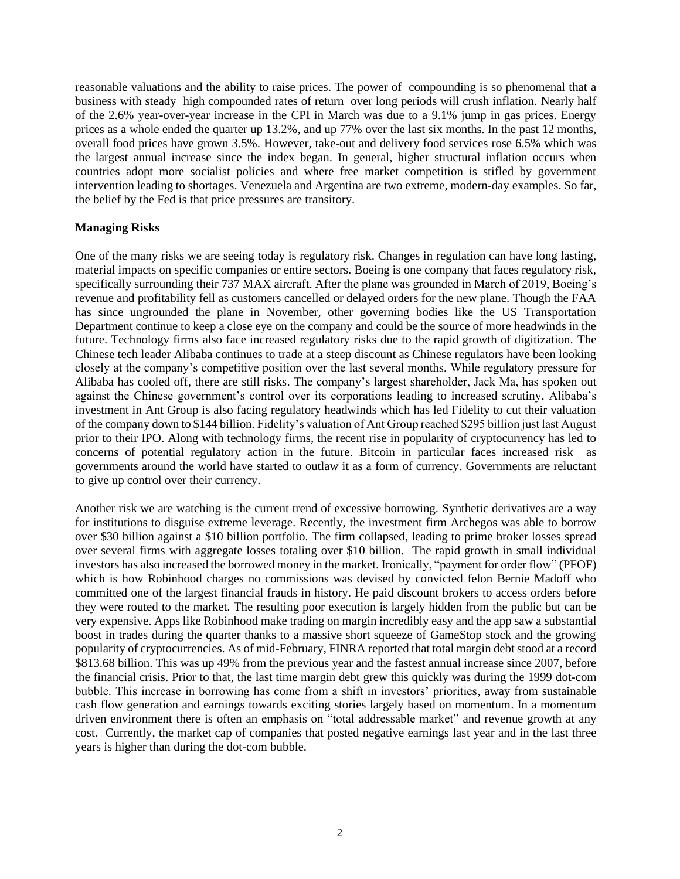reasonable valuations and the ability to raise prices. The power of compounding is so phenomenal that a business with steady high compounded rates of return over long periods will crush inflation. Nearly half of the 2.6% year-over-year increase in the CPI in March was due to a 9.1% jump in gas prices. Energy prices as a whole ended the quarter up 13.2%, and up 77% over the last six months. In the past 12 months, overall food prices have grown 3.5%. However, take-out and delivery food services rose 6.5% which was the largest annual increase since the index began. In general, higher structural inflation occurs when countries adopt more socialist policies and where free market competition is stifled by government intervention leading to shortages. Venezuela and Argentina are two extreme, modern-day examples. So far, the belief by the Fed is that price pressures are transitory.

### **Managing Risks**

One of the many risks we are seeing today is regulatory risk. Changes in regulation can have long lasting, material impacts on specific companies or entire sectors. Boeing is one company that faces regulatory risk, specifically surrounding their 737 MAX aircraft. After the plane was grounded in March of 2019, Boeing's revenue and profitability fell as customers cancelled or delayed orders for the new plane. Though the FAA has since ungrounded the plane in November, other governing bodies like the US Transportation Department continue to keep a close eye on the company and could be the source of more headwinds in the future. Technology firms also face increased regulatory risks due to the rapid growth of digitization. The Chinese tech leader Alibaba continues to trade at a steep discount as Chinese regulators have been looking closely at the company's competitive position over the last several months. While regulatory pressure for Alibaba has cooled off, there are still risks. The company's largest shareholder, Jack Ma, has spoken out against the Chinese government's control over its corporations leading to increased scrutiny. Alibaba's investment in Ant Group is also facing regulatory headwinds which has led Fidelity to cut their valuation of the company down to \$144 billion. Fidelity's valuation of Ant Group reached \$295 billion just last August prior to their IPO. Along with technology firms, the recent rise in popularity of cryptocurrency has led to concerns of potential regulatory action in the future. Bitcoin in particular faces increased risk as governments around the world have started to outlaw it as a form of currency. Governments are reluctant to give up control over their currency.

Another risk we are watching is the current trend of excessive borrowing. Synthetic derivatives are a way for institutions to disguise extreme leverage. Recently, the investment firm Archegos was able to borrow over \$30 billion against a \$10 billion portfolio. The firm collapsed, leading to prime broker losses spread over several firms with aggregate losses totaling over \$10 billion. The rapid growth in small individual investors has also increased the borrowed money in the market. Ironically, "payment for order flow" (PFOF) which is how Robinhood charges no commissions was devised by convicted felon Bernie Madoff who committed one of the largest financial frauds in history. He paid discount brokers to access orders before they were routed to the market. The resulting poor execution is largely hidden from the public but can be very expensive. Apps like Robinhood make trading on margin incredibly easy and the app saw a substantial boost in trades during the quarter thanks to a massive short squeeze of GameStop stock and the growing popularity of cryptocurrencies. As of mid-February, FINRA reported that total margin debt stood at a record \$813.68 billion. This was up 49% from the previous year and the fastest annual increase since 2007, before the financial crisis. Prior to that, the last time margin debt grew this quickly was during the 1999 dot-com bubble. This increase in borrowing has come from a shift in investors' priorities, away from sustainable cash flow generation and earnings towards exciting stories largely based on momentum. In a momentum driven environment there is often an emphasis on "total addressable market" and revenue growth at any cost. Currently, the market cap of companies that posted negative earnings last year and in the last three years is higher than during the dot-com bubble.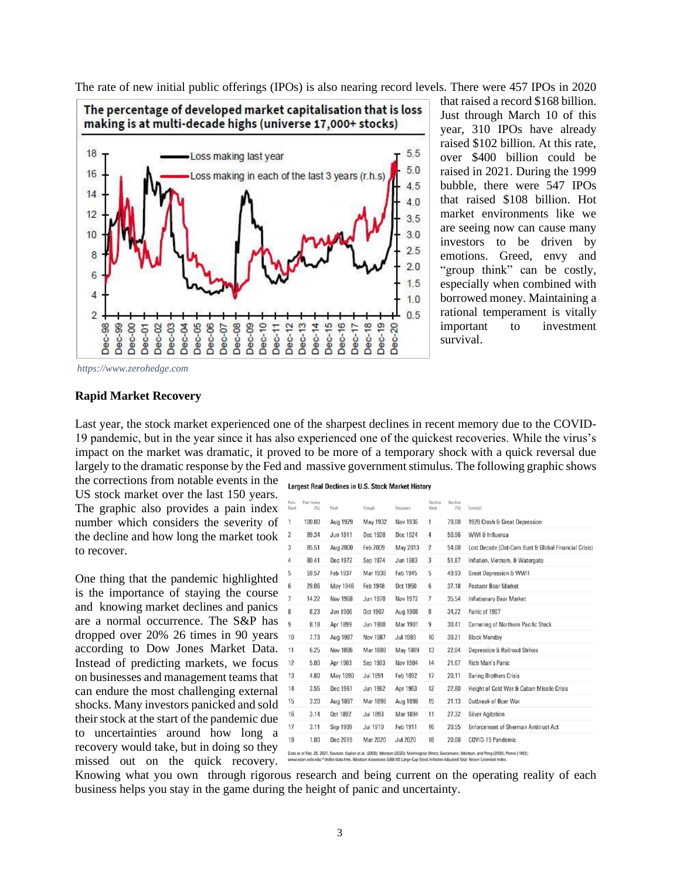The rate of new initial public offerings (IPOs) is also nearing record levels. There were 457 IPOs in 2020



that raised a record \$168 billion. Just through March 10 of this year, 310 IPOs have already raised \$102 billion. At this rate, over \$400 billion could be raised in 2021. During the 1999 bubble, there were 547 IPOs that raised \$108 billion. Hot market environments like we are seeing now can cause many investors to be driven by emotions. Greed, envy and "group think" can be costly, especially when combined with borrowed money. Maintaining a rational temperament is vitally important to investment survival.

*https://www.zerohedge.com* 

#### **Rapid Market Recovery**

Last year, the stock market experienced one of the sharpest declines in recent memory due to the COVID-19 pandemic, but in the year since it has also experienced one of the quickest recoveries. While the virus's impact on the market was dramatic, it proved to be more of a temporary shock with a quick reversal due largely to the dramatic response by the Fed and massive government stimulus. The following graphic shows

the corrections from notable events in the Largest Real Declines in U.S. Stock Market History US stock market over the last 150 years. The graphic also provides a pain index number which considers the severity of the decline and how long the market took to recover.

One thing that the pandemic highlighted is the importance of staying the course and knowing market declines and panics are a normal occurrence. The S&P has dropped over 20% 26 times in 90 years according to Dow Jones Market Data. Instead of predicting markets, we focus on businesses and management teams that can endure the most challenging external shocks. Many investors panicked and sold their stock at the start of the pandemic due to uncertainties around how long a recovery would take, but in doing so they missed out on the quick recovery.

| Pain<br>Rank   | Pain Index<br>(56) | Peak            | Trough          | Recovery        | Decline<br>Rank | Decline<br>(%) | Eventisi                                            |
|----------------|--------------------|-----------------|-----------------|-----------------|-----------------|----------------|-----------------------------------------------------|
| 1              | 100.00             | Aug 1929        | May 1932        | Nov 1936        | 1               | 79.00          | 1929 Crash & Great Depression                       |
| $\overline{2}$ | 89.34              | Jun 1911        | Dec 1920        | Dec 1924        | $\overline{4}$  | 50.96          | WWI & Influenza                                     |
| 3              | 85.51              | Aug 2000        | Feb 2009        | May 2013        | $\overline{2}$  | 54.00          | Lost Decade (Dot-Com Bust & Global Financial Crisis |
| 4              | 80.41              | Dec 1972        | Sep 1974        | Jun 1983        | 3               | 51.87          | Inflation, Vietnam, & Watergate                     |
| 5              | 59.57              | Feb 1937        | Mar 1938        | Feb 1945        | 5               | 49.93          | Great Depression & WWII                             |
| 6              | 29.06              | May 1946        | Feb 1948        | Oct 1950        | 6               | 37.18          | Postwar Bear Market                                 |
| 7              | 14.22              | <b>Nov 1968</b> | Jun 1970        | <b>Nov 1972</b> | $\overline{7}$  | 35.54          | <b>Inflationary Bear Market</b>                     |
| 8              | 8.23               | Jan 1906        | Oct 1907        | Aug 1908        | 8               | 34.22          | Panic of 1907                                       |
| 9              | 8.18               | Apr 1899        | Jun 1900        | Mar 1901        | 9               | 30.41          | Cornering of Northern Pacific Stock                 |
| 10             | 7.73               | Aug 1987        | Nov 1987        | <b>Jul 1989</b> | 10              | 30.21          | <b>Black Monday</b>                                 |
| 11             | 6.25               | Nov 1886        | Mar 1888        | May 1889        | 13              | 22.04          | <b>Depression &amp; Railroad Strikes</b>            |
| 12             | 5.00               | Apr 1903        | Sep 1903        | Nov 1904        | 14              | 21.67          | Rich Man's Panic                                    |
| 13             | 4.80               | May 1890        | Jul 1891        | Feb 1892        | 17              | 20.11          | <b>Baring Brothers Crisis</b>                       |
| 14             | 3.55               | Dec 1961        | <b>Jun 1962</b> | Apr 1963        | 12              | 22.80          | Height of Cold War & Cuban Missile Crisis           |
| 15             | 3.20               | Aug 1897        | Mar 1898        | Aug 1898        | 15              | 21.13          | Outbreak of Boer War                                |
| 16             | 3.14               | Oct 1892        | Jul 1893        | Mar 1894        | 11              | 27.32          | <b>Silver Agitation</b>                             |
| 17             | 3.11               | Sep 1909        | Jul 1910        | Feb 1911        | 16              | 20.55          | <b>Enforcement of Sherman Antitrust Act</b>         |
| 18             | 1.00               | Dec 2019        | Mar 2020        | <b>Jul 2020</b> | 18              | 20.00          | COVID-19 Pandemic                                   |

www.econ.yale.edu/^shiller/data.htm, ociates SBBI US Large-Cap Stock Inflation Adjusted Total Return Extr

Knowing what you own through rigorous research and being current on the operating reality of each business helps you stay in the game during the height of panic and uncertainty.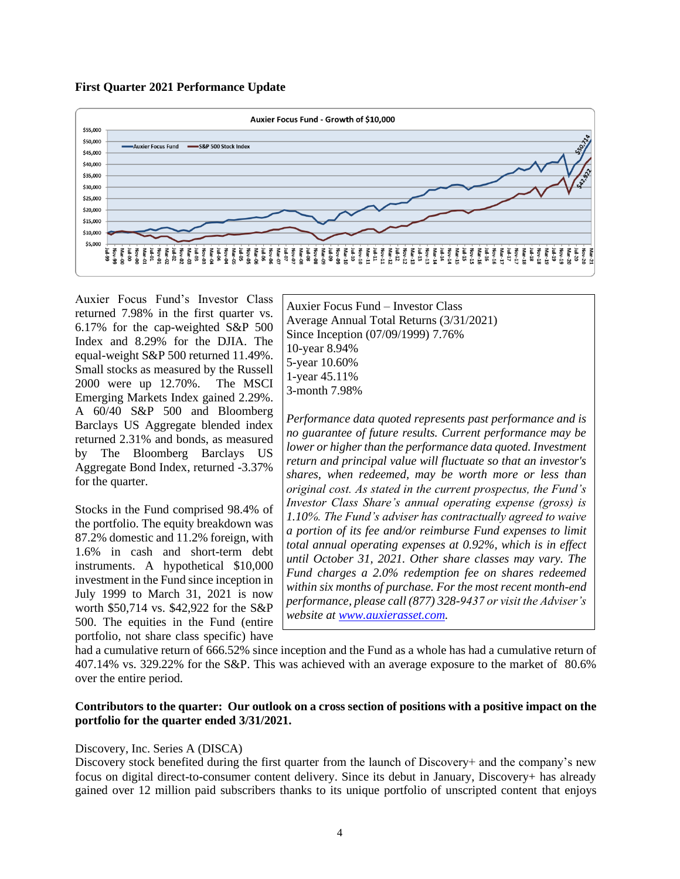



Auxier Focus Fund's Investor Class returned 7.98% in the first quarter vs. 6.17% for the cap-weighted S&P 500 Index and 8.29% for the DJIA. The equal-weight S&P 500 returned 11.49%. Small stocks as measured by the Russell 2000 were up 12.70%. The MSCI Emerging Markets Index gained 2.29%. A 60/40 S&P 500 and Bloomberg Barclays US Aggregate blended index returned 2.31% and bonds, as measured by The Bloomberg Barclays US Aggregate Bond Index, returned -3.37% for the quarter.

Stocks in the Fund comprised 98.4% of the portfolio. The equity breakdown was 87.2% domestic and 11.2% foreign, with 1.6% in cash and short-term debt instruments. A hypothetical \$10,000 investment in the Fund since inception in July 1999 to March 31, 2021 is now worth \$50,714 vs. \$42,922 for the S&P 500. The equities in the Fund (entire portfolio, not share class specific) have

Auxier Focus Fund – Investor Class Average Annual Total Returns (3/31/2021) Since Inception (07/09/1999) 7.76% 10-year 8.94% 5-year 10.60% 1-year 45.11% 3-month 7.98%

*Performance data quoted represents past performance and is no guarantee of future results. Current performance may be lower or higher than the performance data quoted. Investment return and principal value will fluctuate so that an investor's shares, when redeemed, may be worth more or less than original cost. As stated in the current prospectus, the Fund's Investor Class Share's annual operating expense (gross) is 1.10%. The Fund's adviser has contractually agreed to waive a portion of its fee and/or reimburse Fund expenses to limit total annual operating expenses at 0.92%, which is in effect until October 31, 2021. Other share classes may vary. The Fund charges a 2.0% redemption fee on shares redeemed within six months of purchase. For the most recent month-end performance, please call (877) 328-9437 or visit the Adviser's website at [www.auxierasset.com.](http://www.auxierasset.com/)*

had a cumulative return of 666.52% since inception and the Fund as a whole has had a cumulative return of 407.14% vs. 329.22% for the S&P. This was achieved with an average exposure to the market of 80.6% over the entire period.

## **Contributors to the quarter: Our outlook on a cross section of positions with a positive impact on the portfolio for the quarter ended 3/31/2021.**

## Discovery, Inc. Series A (DISCA)

Discovery stock benefited during the first quarter from the launch of Discovery+ and the company's new focus on digital direct-to-consumer content delivery. Since its debut in January, Discovery+ has already gained over 12 million paid subscribers thanks to its unique portfolio of unscripted content that enjoys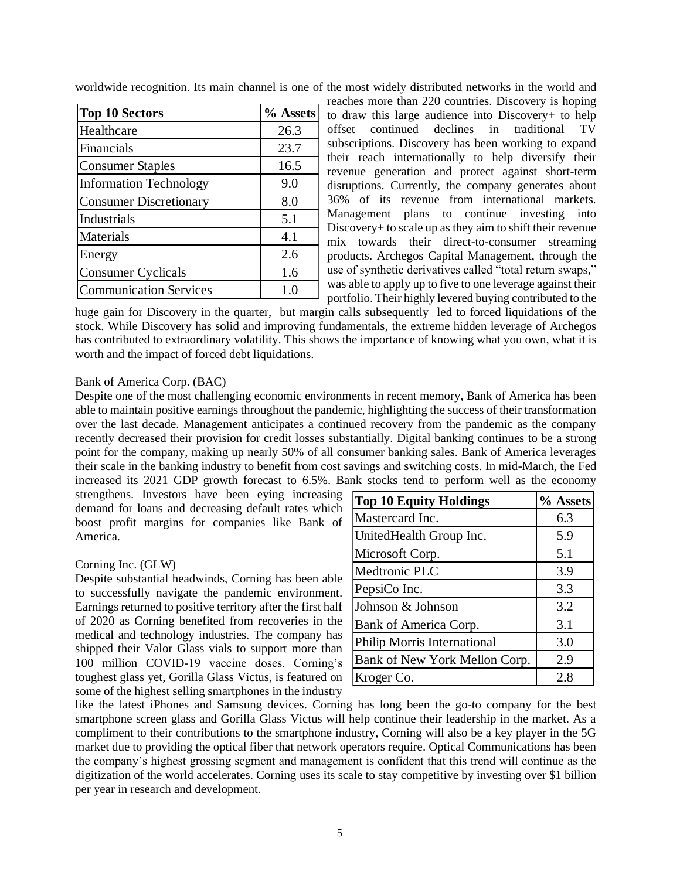worldwide recognition. Its main channel is one of the most widely distributed networks in the world and

| <b>Top 10 Sectors</b>         | % Assets |
|-------------------------------|----------|
| Healthcare                    | 26.3     |
| Financials                    | 23.7     |
| <b>Consumer Staples</b>       | 16.5     |
| <b>Information Technology</b> | 9.0      |
| <b>Consumer Discretionary</b> | 8.0      |
| Industrials                   | 5.1      |
| Materials                     | 4.1      |
| Energy                        | 2.6      |
| <b>Consumer Cyclicals</b>     | 1.6      |
| <b>Communication Services</b> |          |

reaches more than 220 countries. Discovery is hoping to draw this large audience into Discovery+ to help offset continued declines in traditional TV subscriptions. Discovery has been working to expand their reach internationally to help diversify their revenue generation and protect against short-term disruptions. Currently, the company generates about 36% of its revenue from international markets. Management plans to continue investing into Discovery+ to scale up as they aim to shift their revenue mix towards their direct-to-consumer streaming products. Archegos Capital Management, through the use of synthetic derivatives called "total return swaps," was able to apply up to five to one leverage against their portfolio. Their highly levered buying contributed to the

huge gain for Discovery in the quarter, but margin calls subsequently led to forced liquidations of the stock. While Discovery has solid and improving fundamentals, the extreme hidden leverage of Archegos has contributed to extraordinary volatility. This shows the importance of knowing what you own, what it is worth and the impact of forced debt liquidations.

## Bank of America Corp. (BAC)

Despite one of the most challenging economic environments in recent memory, Bank of America has been able to maintain positive earnings throughout the pandemic, highlighting the success of their transformation over the last decade. Management anticipates a continued recovery from the pandemic as the company recently decreased their provision for credit losses substantially. Digital banking continues to be a strong point for the company, making up nearly 50% of all consumer banking sales. Bank of America leverages their scale in the banking industry to benefit from cost savings and switching costs. In mid-March, the Fed increased its 2021 GDP growth forecast to 6.5%. Bank stocks tend to perform well as the economy

strengthens. Investors have been eying increasing demand for loans and decreasing default rates which boost profit margins for companies like Bank of America.

#### Corning Inc. (GLW)

Despite substantial headwinds, Corning has been able to successfully navigate the pandemic environment. Earnings returned to positive territory after the first half of 2020 as Corning benefited from recoveries in the medical and technology industries. The company has shipped their Valor Glass vials to support more than 100 million COVID-19 vaccine doses. Corning's toughest glass yet, Gorilla Glass Victus, is featured on some of the highest selling smartphones in the industry

| <b>Top 10 Equity Holdings</b>      | % Assets |
|------------------------------------|----------|
| Mastercard Inc.                    | 6.3      |
| UnitedHealth Group Inc.            | 5.9      |
| Microsoft Corp.                    | 5.1      |
| Medtronic PLC                      | 3.9      |
| PepsiCo Inc.                       | 3.3      |
| Johnson & Johnson                  | 3.2      |
| Bank of America Corp.              | 3.1      |
| <b>Philip Morris International</b> | 3.0      |
| Bank of New York Mellon Corp.      | 2.9      |
| Kroger Co.                         | 2.8      |

like the latest iPhones and Samsung devices. Corning has long been the go-to company for the best smartphone screen glass and Gorilla Glass Victus will help continue their leadership in the market. As a compliment to their contributions to the smartphone industry, Corning will also be a key player in the 5G market due to providing the optical fiber that network operators require. Optical Communications has been the company's highest grossing segment and management is confident that this trend will continue as the digitization of the world accelerates. Corning uses its scale to stay competitive by investing over \$1 billion per year in research and development.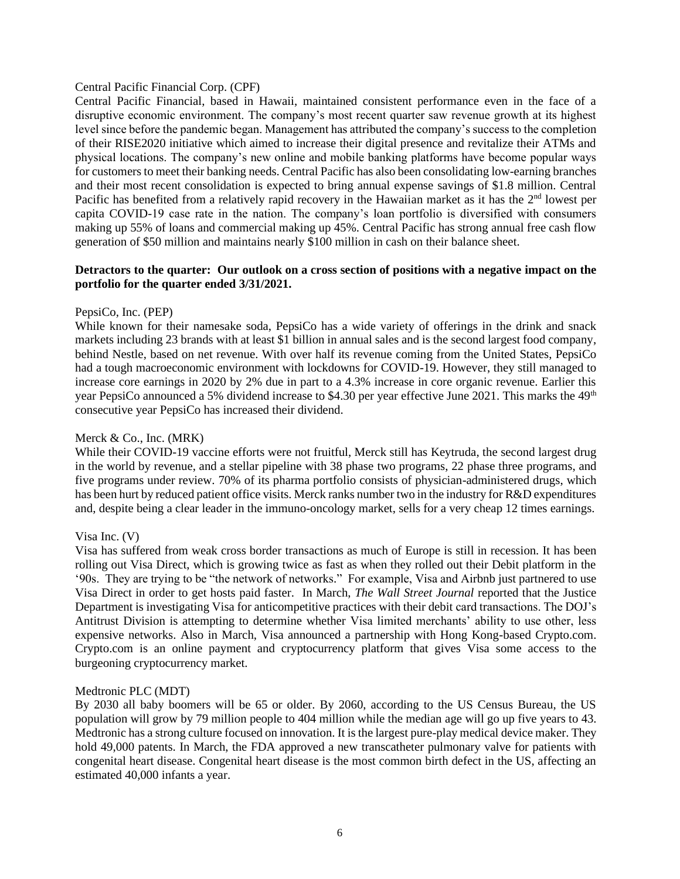#### Central Pacific Financial Corp. (CPF)

Central Pacific Financial, based in Hawaii, maintained consistent performance even in the face of a disruptive economic environment. The company's most recent quarter saw revenue growth at its highest level since before the pandemic began. Management has attributed the company's success to the completion of their RISE2020 initiative which aimed to increase their digital presence and revitalize their ATMs and physical locations. The company's new online and mobile banking platforms have become popular ways for customers to meet their banking needs. Central Pacific has also been consolidating low-earning branches and their most recent consolidation is expected to bring annual expense savings of \$1.8 million. Central Pacific has benefited from a relatively rapid recovery in the Hawaiian market as it has the  $2<sup>nd</sup>$  lowest per capita COVID-19 case rate in the nation. The company's loan portfolio is diversified with consumers making up 55% of loans and commercial making up  $\frac{45\%}{ }$ . Central Pacific has strong annual free cash flow generation of \$50 million and maintains nearly \$100 million in cash on their balance sheet.

### **Detractors to the quarter: Our outlook on a cross section of positions with a negative impact on the portfolio for the quarter ended 3/31/2021.**

### PepsiCo, Inc. (PEP)

While known for their namesake soda, PepsiCo has a wide variety of offerings in the drink and snack markets including 23 brands with at least \$1 billion in annual sales and is the second largest food company, behind Nestle, based on net revenue. With over half its revenue coming from the United States, PepsiCo had a tough macroeconomic environment with lockdowns for COVID-19. However, they still managed to increase core earnings in 2020 by 2% due in part to a 4.3% increase in core organic revenue. Earlier this year PepsiCo announced a 5% dividend increase to \$4.30 per year effective June 2021. This marks the 49<sup>th</sup> consecutive year PepsiCo has increased their dividend.

### Merck & Co., Inc. (MRK)

While their COVID-19 vaccine efforts were not fruitful, Merck still has Keytruda, the second largest drug in the world by revenue, and a stellar pipeline with 38 phase two programs, 22 phase three programs, and five programs under review. 70% of its pharma portfolio consists of physician-administered drugs, which has been hurt by reduced patient office visits. Merck ranks number two in the industry for R&D expenditures and, despite being a clear leader in the immuno-oncology market, sells for a very cheap 12 times earnings.

#### Visa Inc. (V)

Visa has suffered from weak cross border transactions as much of Europe is still in recession. It has been rolling out Visa Direct, which is growing twice as fast as when they rolled out their Debit platform in the '90s. They are trying to be "the network of networks." For example, Visa and Airbnb just partnered to use Visa Direct in order to get hosts paid faster. In March, *The Wall Street Journal* reported that the Justice Department is investigating Visa for anticompetitive practices with their debit card transactions. The DOJ's Antitrust Division is attempting to determine whether Visa limited merchants' ability to use other, less expensive networks. Also in March, Visa announced a partnership with Hong Kong-based Crypto.com. Crypto.com is an online payment and cryptocurrency platform that gives Visa some access to the burgeoning cryptocurrency market.

#### Medtronic PLC (MDT)

By 2030 all baby boomers will be 65 or older. By 2060, according to the US Census Bureau, the US population will grow by 79 million people to 404 million while the median age will go up five years to 43. Medtronic has a strong culture focused on innovation. It is the largest pure-play medical device maker. They hold 49,000 patents. In March, the FDA approved a new transcatheter pulmonary valve for patients with congenital heart disease. Congenital heart disease is the most common birth defect in the US, affecting an estimated 40,000 infants a year.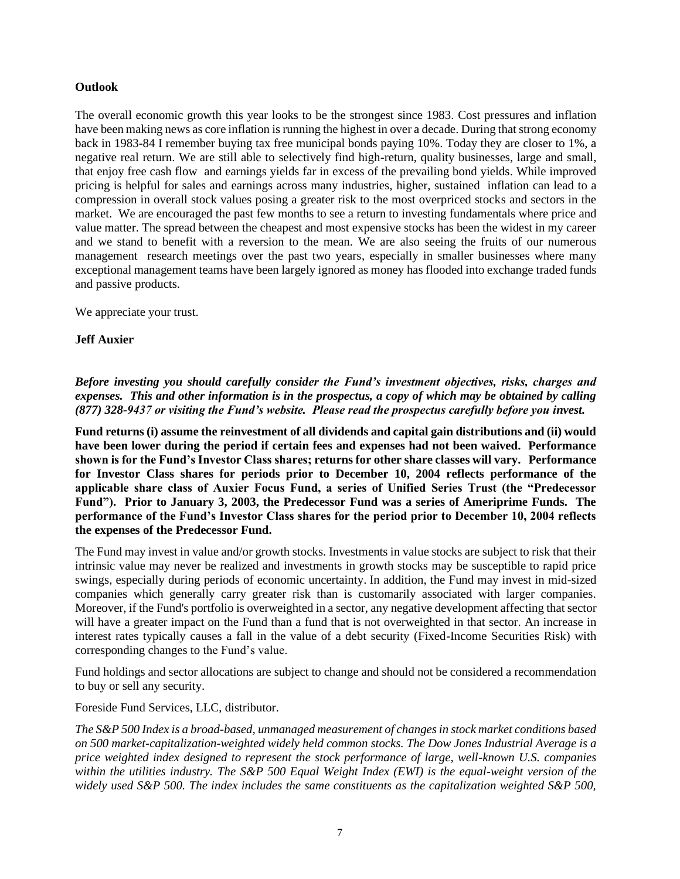## **Outlook**

The overall economic growth this year looks to be the strongest since 1983. Cost pressures and inflation have been making news as core inflation is running the highest in over a decade. During that strong economy back in 1983-84 I remember buying tax free municipal bonds paying 10%. Today they are closer to 1%, a negative real return. We are still able to selectively find high-return, quality businesses, large and small, that enjoy free cash flow and earnings yields far in excess of the prevailing bond yields. While improved pricing is helpful for sales and earnings across many industries, higher, sustained inflation can lead to a compression in overall stock values posing a greater risk to the most overpriced stocks and sectors in the market. We are encouraged the past few months to see a return to investing fundamentals where price and value matter. The spread between the cheapest and most expensive stocks has been the widest in my career and we stand to benefit with a reversion to the mean. We are also seeing the fruits of our numerous management research meetings over the past two years, especially in smaller businesses where many exceptional management teams have been largely ignored as money has flooded into exchange traded funds and passive products.

We appreciate your trust.

## **Jeff Auxier**

*Before investing you should carefully consider the Fund's investment objectives, risks, charges and expenses. This and other information is in the prospectus, a copy of which may be obtained by calling (877) 328-9437 or visiting the Fund's website. Please read the prospectus carefully before you invest.*

**Fund returns (i) assume the reinvestment of all dividends and capital gain distributions and (ii) would have been lower during the period if certain fees and expenses had not been waived. Performance shown is for the Fund's Investor Class shares; returns for other share classes will vary. Performance for Investor Class shares for periods prior to December 10, 2004 reflects performance of the applicable share class of Auxier Focus Fund, a series of Unified Series Trust (the "Predecessor Fund"). Prior to January 3, 2003, the Predecessor Fund was a series of Ameriprime Funds. The performance of the Fund's Investor Class shares for the period prior to December 10, 2004 reflects the expenses of the Predecessor Fund.** 

The Fund may invest in value and/or growth stocks. Investments in value stocks are subject to risk that their intrinsic value may never be realized and investments in growth stocks may be susceptible to rapid price swings, especially during periods of economic uncertainty. In addition, the Fund may invest in mid-sized companies which generally carry greater risk than is customarily associated with larger companies. Moreover, if the Fund's portfolio is overweighted in a sector, any negative development affecting that sector will have a greater impact on the Fund than a fund that is not overweighted in that sector. An increase in interest rates typically causes a fall in the value of a debt security (Fixed-Income Securities Risk) with corresponding changes to the Fund's value.

Fund holdings and sector allocations are subject to change and should not be considered a recommendation to buy or sell any security.

Foreside Fund Services, LLC, distributor.

*The S&P 500 Index is a broad-based, unmanaged measurement of changes in stock market conditions based on 500 market-capitalization-weighted widely held common stocks. The Dow Jones Industrial Average is a price weighted index designed to represent the stock performance of large, well-known U.S. companies within the utilities industry. The S&P 500 Equal Weight Index (EWI) is the equal-weight version of the widely used S&P 500. The index includes the same constituents as the capitalization weighted S&P 500,*